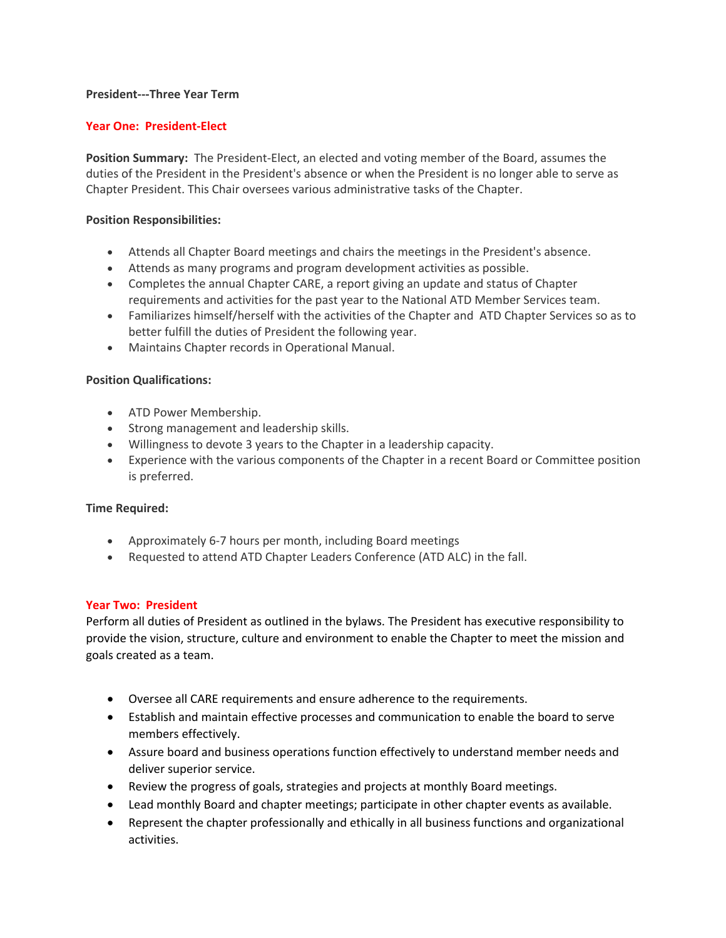### **President---Three Year Term**

# **Year One: President-Elect**

**Position Summary:** The President-Elect, an elected and voting member of the Board, assumes the duties of the President in the President's absence or when the President is no longer able to serve as Chapter President. This Chair oversees various administrative tasks of the Chapter.

### **Position Responsibilities:**

- Attends all Chapter Board meetings and chairs the meetings in the President's absence.
- Attends as many programs and program development activities as possible.
- Completes the annual Chapter CARE, a report giving an update and status of Chapter requirements and activities for the past year to the National ATD Member Services team.
- Familiarizes himself/herself with the activities of the Chapter and ATD Chapter Services so as to better fulfill the duties of President the following year.
- Maintains Chapter records in Operational Manual.

# **Position Qualifications:**

- ATD Power Membership.
- Strong management and leadership skills.
- Willingness to devote 3 years to the Chapter in a leadership capacity.
- Experience with the various components of the Chapter in a recent Board or Committee position is preferred.

### **Time Required:**

- Approximately 6-7 hours per month, including Board meetings
- Requested to attend ATD Chapter Leaders Conference (ATD ALC) in the fall.

### **Year Two: President**

Perform all duties of President as outlined in the bylaws. The President has executive responsibility to provide the vision, structure, culture and environment to enable the Chapter to meet the mission and goals created as a team.

- Oversee all CARE requirements and ensure adherence to the requirements.
- Establish and maintain effective processes and communication to enable the board to serve members effectively.
- Assure board and business operations function effectively to understand member needs and deliver superior service.
- Review the progress of goals, strategies and projects at monthly Board meetings.
- Lead monthly Board and chapter meetings; participate in other chapter events as available.
- Represent the chapter professionally and ethically in all business functions and organizational activities.